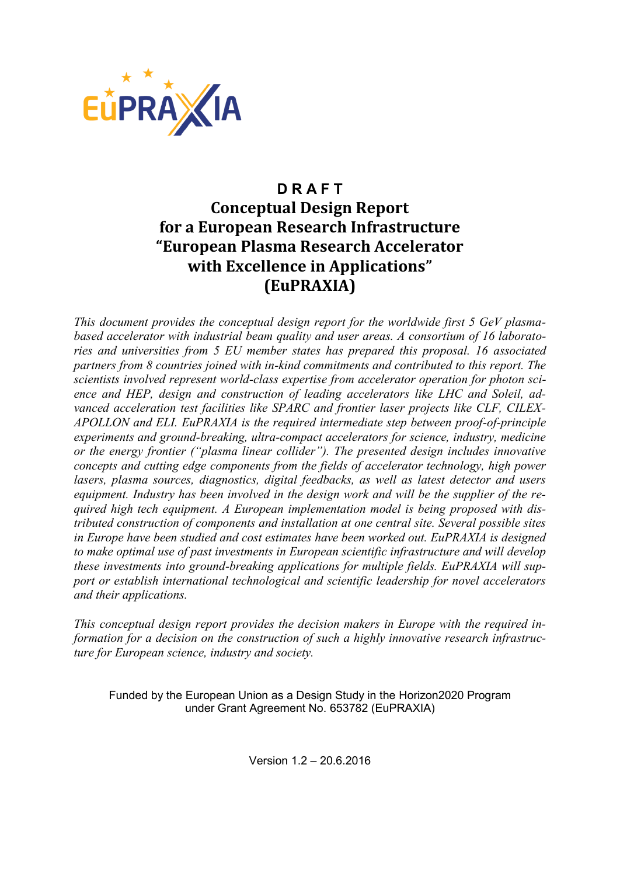

## **D R A F T Conceptual Design Report for a European Research Infrastructure "European Plasma Research Accelerator with Excellence in Applications" (EuPRAXIA)**

*This document provides the conceptual design report for the worldwide first 5 GeV plasmabased accelerator with industrial beam quality and user areas. A consortium of 16 laboratories and universities from 5 EU member states has prepared this proposal. 16 associated partners from 8 countries joined with in-kind commitments and contributed to this report. The scientists involved represent world-class expertise from accelerator operation for photon science and HEP, design and construction of leading accelerators like LHC and Soleil, advanced acceleration test facilities like SPARC and frontier laser projects like CLF, CILEX-APOLLON and ELI. EuPRAXIA is the required intermediate step between proof-of-principle experiments and ground-breaking, ultra-compact accelerators for science, industry, medicine or the energy frontier ("plasma linear collider"). The presented design includes innovative concepts and cutting edge components from the fields of accelerator technology, high power lasers, plasma sources, diagnostics, digital feedbacks, as well as latest detector and users equipment. Industry has been involved in the design work and will be the supplier of the required high tech equipment. A European implementation model is being proposed with distributed construction of components and installation at one central site. Several possible sites in Europe have been studied and cost estimates have been worked out. EuPRAXIA is designed to make optimal use of past investments in European scientific infrastructure and will develop these investments into ground-breaking applications for multiple fields. EuPRAXIA will support or establish international technological and scientific leadership for novel accelerators and their applications.* 

*This conceptual design report provides the decision makers in Europe with the required information for a decision on the construction of such a highly innovative research infrastructure for European science, industry and society.* 

Funded by the European Union as a Design Study in the Horizon2020 Program under Grant Agreement No. 653782 (EuPRAXIA)

Version 1.2 – 20.6.2016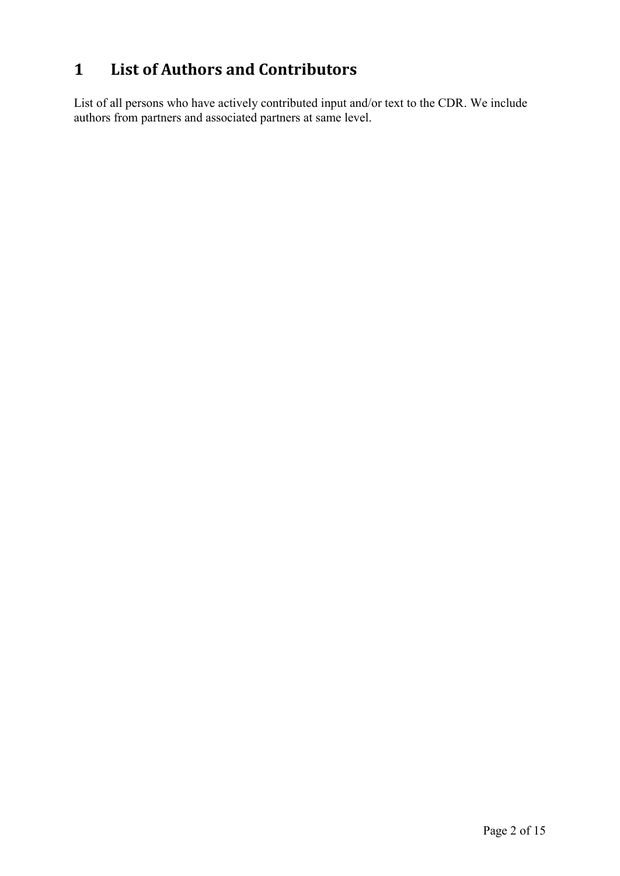# **1 List of Authors and Contributors**

List of all persons who have actively contributed input and/or text to the CDR. We include authors from partners and associated partners at same level.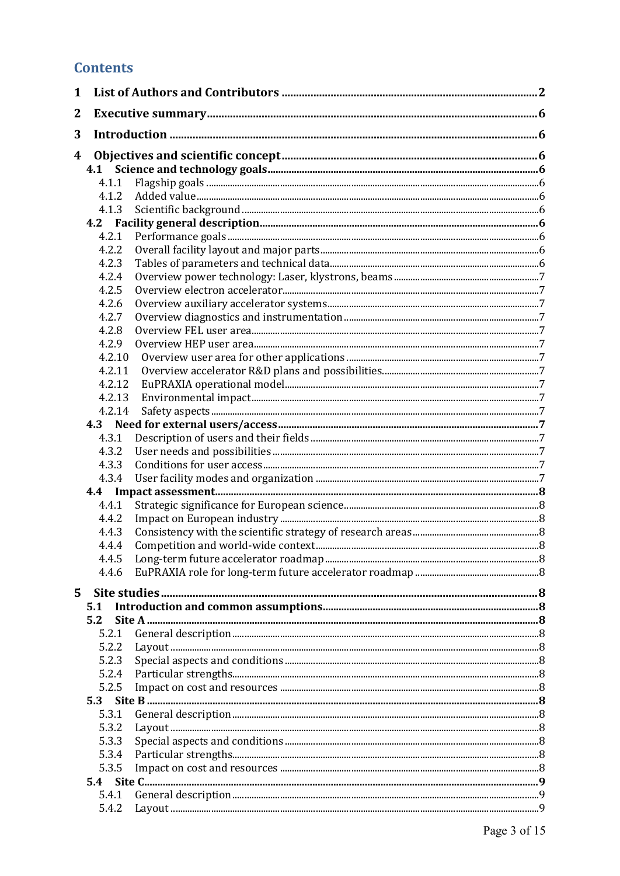### **Contents**

| $\mathbf{1}$ |        |                |  |  |  |
|--------------|--------|----------------|--|--|--|
| 2            |        |                |  |  |  |
| 3            |        |                |  |  |  |
| 4            |        |                |  |  |  |
|              |        |                |  |  |  |
|              | 4.1.1  |                |  |  |  |
|              | 4.1.2  |                |  |  |  |
|              | 4.1.3  |                |  |  |  |
|              |        |                |  |  |  |
|              | 4.2.1  |                |  |  |  |
|              | 4.2.2  |                |  |  |  |
|              | 4.2.3  |                |  |  |  |
|              | 4.2.4  |                |  |  |  |
|              | 4.2.5  |                |  |  |  |
|              | 4.2.6  |                |  |  |  |
|              | 4.2.7  |                |  |  |  |
|              | 4.2.8  |                |  |  |  |
|              | 4.2.9  |                |  |  |  |
|              | 4.2.10 |                |  |  |  |
|              | 4.2.11 |                |  |  |  |
|              | 4.2.12 |                |  |  |  |
|              | 4.2.13 |                |  |  |  |
|              | 4.2.14 |                |  |  |  |
|              |        |                |  |  |  |
|              | 4.3.1  |                |  |  |  |
|              | 4.3.2  |                |  |  |  |
|              | 4.3.3  |                |  |  |  |
|              | 4.3.4  |                |  |  |  |
|              |        |                |  |  |  |
|              | 4.4.1  |                |  |  |  |
|              | 4.4.2  |                |  |  |  |
|              | 4.4.3  |                |  |  |  |
|              | 4.4.4  |                |  |  |  |
|              | 4.4.5  |                |  |  |  |
|              | 4.4.6  |                |  |  |  |
| 5.           |        |                |  |  |  |
|              | 5.1    |                |  |  |  |
|              | 5.2    |                |  |  |  |
|              | 5.2.1  |                |  |  |  |
|              | 5.2.2  |                |  |  |  |
|              | 5.2.3  |                |  |  |  |
|              | 5.2.4  |                |  |  |  |
|              | 5.2.5  |                |  |  |  |
|              | 5.3    |                |  |  |  |
|              | 5.3.1  |                |  |  |  |
|              | 5.3.2  | Layout 1.10001 |  |  |  |
|              | 5.3.3  |                |  |  |  |
|              | 5.3.4  |                |  |  |  |
|              | 5.3.5  |                |  |  |  |
|              |        |                |  |  |  |
|              | 5.4.1  |                |  |  |  |
|              | 5.4.2  |                |  |  |  |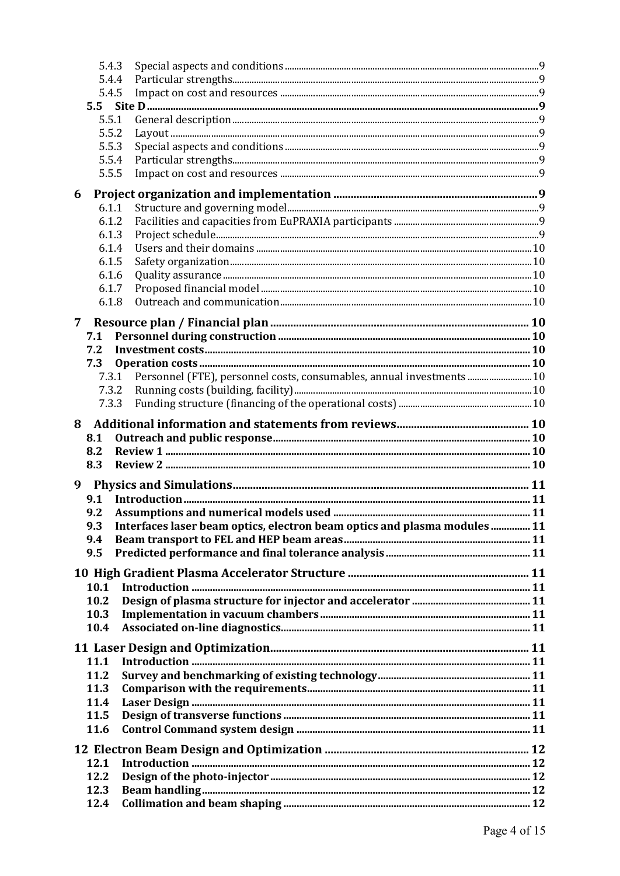| 5.4.3        |                                                                           |  |  |  |  |
|--------------|---------------------------------------------------------------------------|--|--|--|--|
| 5.4.4        |                                                                           |  |  |  |  |
| 5.4.5        |                                                                           |  |  |  |  |
|              |                                                                           |  |  |  |  |
| 5.5.1        |                                                                           |  |  |  |  |
| 5.5.2        |                                                                           |  |  |  |  |
| 5.5.3        |                                                                           |  |  |  |  |
| 5.5.4        |                                                                           |  |  |  |  |
| 5.5.5        |                                                                           |  |  |  |  |
| 6            |                                                                           |  |  |  |  |
| 6.1.1        |                                                                           |  |  |  |  |
| 6.1.2        |                                                                           |  |  |  |  |
| 6.1.3        |                                                                           |  |  |  |  |
| 6.1.4        |                                                                           |  |  |  |  |
| 6.1.5        |                                                                           |  |  |  |  |
| 6.1.6        |                                                                           |  |  |  |  |
| 6.1.7        |                                                                           |  |  |  |  |
| 6.1.8        |                                                                           |  |  |  |  |
|              |                                                                           |  |  |  |  |
| 7            |                                                                           |  |  |  |  |
| 7.1          |                                                                           |  |  |  |  |
| 7.2          |                                                                           |  |  |  |  |
| 7.3          |                                                                           |  |  |  |  |
| 7.3.1        | Personnel (FTE), personnel costs, consumables, annual investments  10     |  |  |  |  |
| 7.3.2        |                                                                           |  |  |  |  |
| 7.3.3        |                                                                           |  |  |  |  |
| 8            |                                                                           |  |  |  |  |
|              |                                                                           |  |  |  |  |
| 8.1          |                                                                           |  |  |  |  |
| 8.2          |                                                                           |  |  |  |  |
| 8.3          |                                                                           |  |  |  |  |
|              |                                                                           |  |  |  |  |
| 9            |                                                                           |  |  |  |  |
| 9.1          |                                                                           |  |  |  |  |
| 9.2          |                                                                           |  |  |  |  |
| 9.3          | Interfaces laser beam optics, electron beam optics and plasma modules  11 |  |  |  |  |
| 9.4          |                                                                           |  |  |  |  |
| 9.5          |                                                                           |  |  |  |  |
|              |                                                                           |  |  |  |  |
| 10.1         |                                                                           |  |  |  |  |
| 10.2         |                                                                           |  |  |  |  |
| 10.3         |                                                                           |  |  |  |  |
| 10.4         |                                                                           |  |  |  |  |
|              |                                                                           |  |  |  |  |
|              |                                                                           |  |  |  |  |
| 11.1         |                                                                           |  |  |  |  |
| 11.2<br>11.3 |                                                                           |  |  |  |  |
| 11.4         |                                                                           |  |  |  |  |
| 11.5         |                                                                           |  |  |  |  |
| 11.6         |                                                                           |  |  |  |  |
|              |                                                                           |  |  |  |  |
|              |                                                                           |  |  |  |  |
| 12.1         |                                                                           |  |  |  |  |
| 12.2         |                                                                           |  |  |  |  |
| 12.3<br>12.4 |                                                                           |  |  |  |  |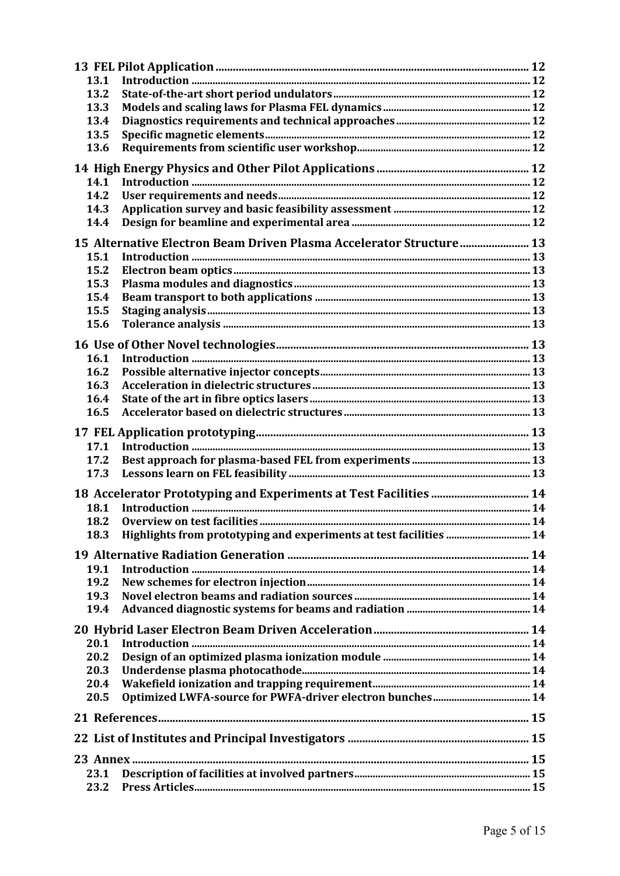| 13.1                                                                |                                                                    |  |  |  |  |  |
|---------------------------------------------------------------------|--------------------------------------------------------------------|--|--|--|--|--|
| 13.2                                                                |                                                                    |  |  |  |  |  |
| 13.3                                                                |                                                                    |  |  |  |  |  |
| 13.4                                                                |                                                                    |  |  |  |  |  |
| 13.5                                                                |                                                                    |  |  |  |  |  |
| 13.6                                                                |                                                                    |  |  |  |  |  |
|                                                                     |                                                                    |  |  |  |  |  |
| 14.1                                                                |                                                                    |  |  |  |  |  |
| 14.2                                                                |                                                                    |  |  |  |  |  |
| 14.3                                                                |                                                                    |  |  |  |  |  |
| 14.4                                                                |                                                                    |  |  |  |  |  |
| 15 Alternative Electron Beam Driven Plasma Accelerator Structure 13 |                                                                    |  |  |  |  |  |
| 15.1                                                                |                                                                    |  |  |  |  |  |
| 15.2                                                                |                                                                    |  |  |  |  |  |
| 15.3                                                                |                                                                    |  |  |  |  |  |
| 15.4                                                                |                                                                    |  |  |  |  |  |
| 15.5                                                                |                                                                    |  |  |  |  |  |
| 15.6                                                                |                                                                    |  |  |  |  |  |
|                                                                     |                                                                    |  |  |  |  |  |
|                                                                     |                                                                    |  |  |  |  |  |
| 16.1                                                                |                                                                    |  |  |  |  |  |
| 16.2                                                                |                                                                    |  |  |  |  |  |
| 16.3                                                                |                                                                    |  |  |  |  |  |
| 16.4                                                                |                                                                    |  |  |  |  |  |
| 16.5                                                                |                                                                    |  |  |  |  |  |
|                                                                     |                                                                    |  |  |  |  |  |
| 17.1                                                                |                                                                    |  |  |  |  |  |
| 17.2                                                                |                                                                    |  |  |  |  |  |
| 17.3                                                                |                                                                    |  |  |  |  |  |
|                                                                     | 18 Accelerator Prototyping and Experiments at Test Facilities  14  |  |  |  |  |  |
| 18.1                                                                |                                                                    |  |  |  |  |  |
| 18.2                                                                |                                                                    |  |  |  |  |  |
| 18.3                                                                | Highlights from prototyping and experiments at test facilities  14 |  |  |  |  |  |
|                                                                     |                                                                    |  |  |  |  |  |
|                                                                     |                                                                    |  |  |  |  |  |
| 19.1                                                                |                                                                    |  |  |  |  |  |
| 19.2                                                                |                                                                    |  |  |  |  |  |
| 19.3                                                                |                                                                    |  |  |  |  |  |
| 19.4                                                                |                                                                    |  |  |  |  |  |
|                                                                     |                                                                    |  |  |  |  |  |
| 20.1                                                                |                                                                    |  |  |  |  |  |
| 20.2                                                                |                                                                    |  |  |  |  |  |
| 20.3                                                                |                                                                    |  |  |  |  |  |
| 20.4                                                                |                                                                    |  |  |  |  |  |
| 20.5                                                                |                                                                    |  |  |  |  |  |
|                                                                     |                                                                    |  |  |  |  |  |
|                                                                     |                                                                    |  |  |  |  |  |
|                                                                     |                                                                    |  |  |  |  |  |
|                                                                     |                                                                    |  |  |  |  |  |
| 23.1                                                                |                                                                    |  |  |  |  |  |
| 23.2                                                                |                                                                    |  |  |  |  |  |
|                                                                     |                                                                    |  |  |  |  |  |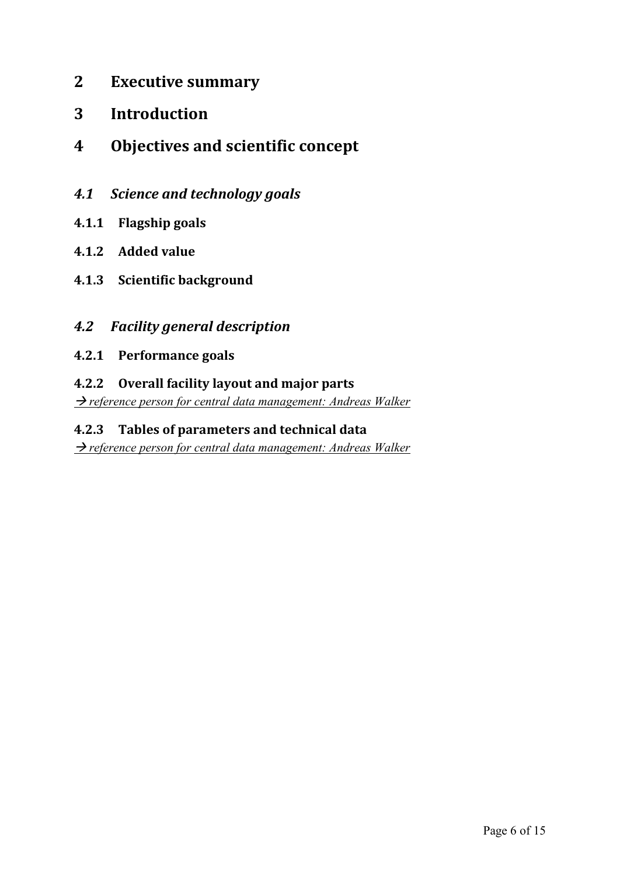- **2 Executive summary**
- **3 Introduction**
- **4 Objectives and scientific concept**
- *4.1 Science and technology goals*
- **4.1.1 Flagship goals**
- **4.1.2 Added value**
- **4.1.3 Scientific background**

#### *4.2 Facility general description*

**4.2.1 Performance goals**

#### **4.2.2 Overall facility layout and major parts**

*P reference person for central data management: Andreas Walker* 

#### **4.2.3 Tables of parameters and technical data**

→ reference person for central data management: Andreas Walker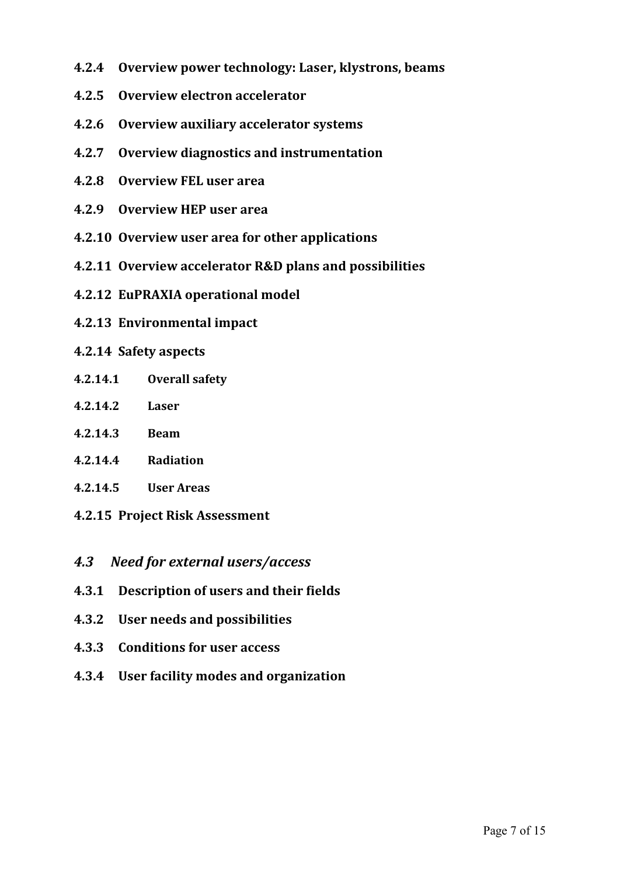- **4.2.4 Overview power technology: Laser, klystrons, beams**
- **4.2.5 Overview electron accelerator**
- **4.2.6 Overview auxiliary accelerator systems**
- **4.2.7 Overview diagnostics and instrumentation**
- **4.2.8 Overview FEL user area**
- **4.2.9 Overview HEP user area**
- **4.2.10 Overview user area for other applications**
- **4.2.11 Overview accelerator R&D plans and possibilities**
- **4.2.12 EuPRAXIA operational model**
- **4.2.13 Environmental impact**

#### **4.2.14 Safety aspects**

- **4.2.14.1 Overall safety**
- **4.2.14.2 Laser**
- **4.2.14.3 Beam**
- **4.2.14.4 Radiation**
- **4.2.14.5 User Areas**
- **4.2.15 Project Risk Assessment**
- *4.3 Need for external users/access*
- **4.3.1 Description of users and their fields**
- **4.3.2 User needs and possibilities**
- **4.3.3 Conditions for user access**
- **4.3.4 User facility modes and organization**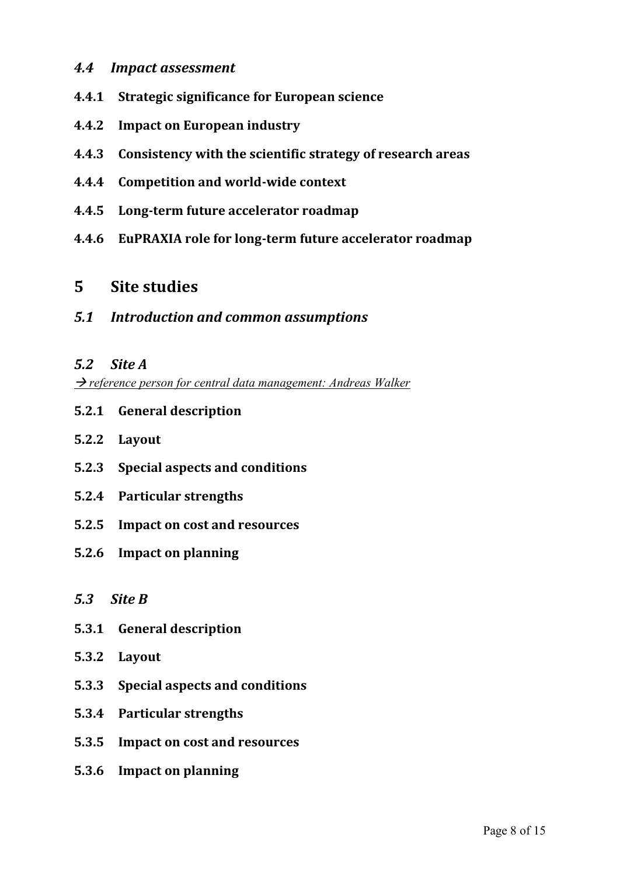#### *4.4 Impact assessment*

- **4.4.1 Strategic significance for European science**
- **4.4.2 Impact on European industry**
- **4.4.3 Consistency with the scientific strategy of research areas**
- **4.4.4 Competition and world-wide context**
- **4.4.5 Long-term future accelerator roadmap**
- **4.4.6 EuPRAXIA role for long-term future accelerator roadmap**

#### **5 Site studies**

*5.1 Introduction and common assumptions*

#### *5.2 Site A*

→ *reference person for central data management: Andreas Walker* 

- **5.2.1 General description**
- **5.2.2 Layout**
- **5.2.3 Special aspects and conditions**
- **5.2.4 Particular strengths**
- **5.2.5 Impact on cost and resources**
- **5.2.6 Impact on planning**

#### *5.3 Site B*

- **5.3.1 General description**
- **5.3.2 Layout**
- **5.3.3 Special aspects and conditions**
- **5.3.4 Particular strengths**
- **5.3.5 Impact on cost and resources**
- **5.3.6 Impact on planning**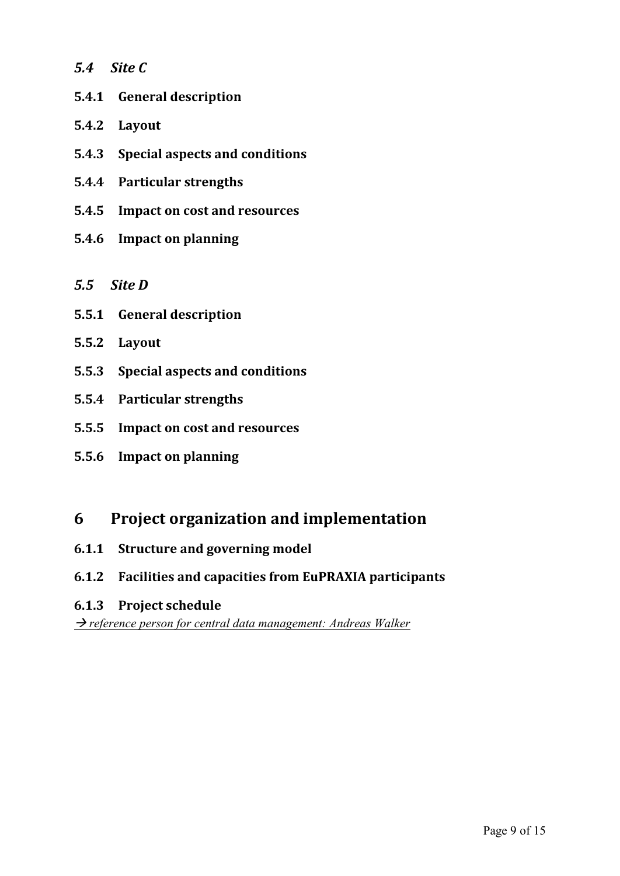- *5.4 Site C*
- **5.4.1 General description**
- **5.4.2 Layout**
- **5.4.3 Special aspects and conditions**
- **5.4.4 Particular strengths**
- **5.4.5 Impact on cost and resources**
- **5.4.6 Impact on planning**
- *5.5 Site D*
- **5.5.1 General description**
- **5.5.2 Layout**
- **5.5.3 Special aspects and conditions**
- **5.5.4 Particular strengths**
- **5.5.5 Impact on cost and resources**
- **5.5.6 Impact on planning**

#### **6 Project organization and implementation**

- **6.1.1 Structure and governing model**
- **6.1.2 Facilities and capacities from EuPRAXIA participants**
- **6.1.3 Project schedule**

→ reference person for central data management: Andreas Walker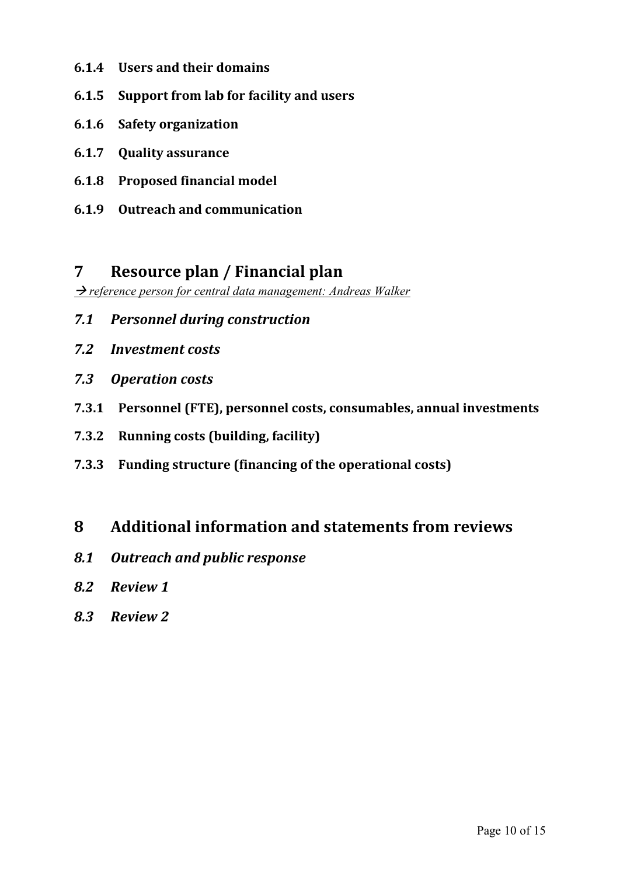- **6.1.4 Users and their domains**
- **6.1.5 Support from lab for facility and users**
- **6.1.6 Safety organization**
- **6.1.7 Quality assurance**
- **6.1.8 Proposed financial model**
- **6.1.9 Outreach and communication**

#### **7 Resource plan / Financial plan**

→ *reference person for central data management: Andreas Walker* 

- *7.1 Personnel during construction*
- *7.2 Investment costs*
- *7.3 Operation costs*
- **7.3.1 Personnel (FTE), personnel costs, consumables, annual investments**
- **7.3.2 Running costs (building, facility)**
- **7.3.3 Funding structure (financing of the operational costs)**

### **8 Additional information and statements from reviews**

- *8.1 Outreach and public response*
- *8.2 Review 1*
- *8.3 Review 2*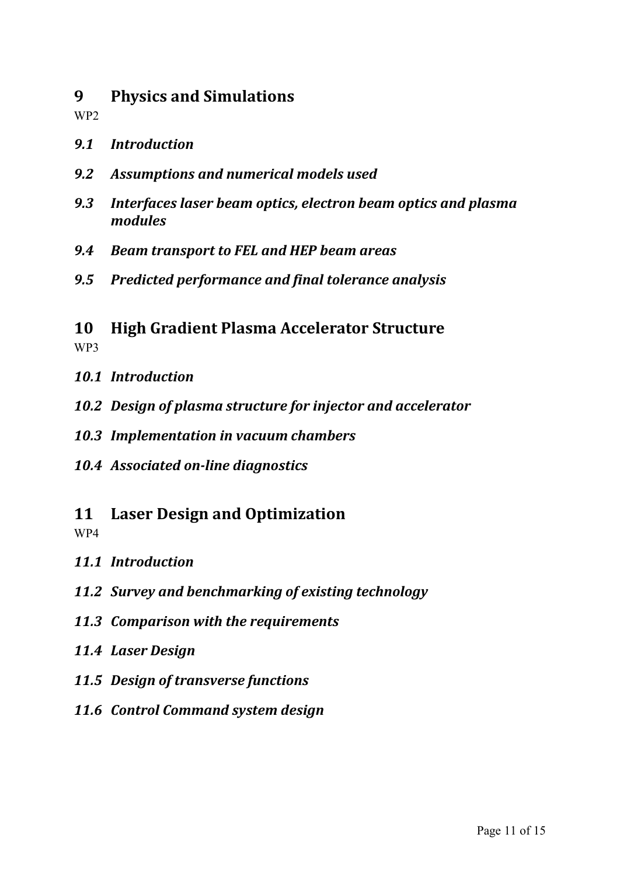### **9 Physics and Simulations**

WP2

- *9.1 Introduction*
- *9.2 Assumptions and numerical models used*
- *9.3 Interfaces laser beam optics, electron beam optics and plasma modules*
- *9.4 Beam transport to FEL and HEP beam areas*
- *9.5 Predicted performance and final tolerance analysis*

### **10 High Gradient Plasma Accelerator Structure** WP3

- *10.1 Introduction*
- *10.2 Design of plasma structure for injector and accelerator*
- *10.3 Implementation in vacuum chambers*
- *10.4 Associated on-line diagnostics*
- **11 Laser Design and Optimization**

WP4

- *11.1 Introduction*
- *11.2 Survey and benchmarking of existing technology*
- *11.3 Comparison with the requirements*
- *11.4 Laser Design*
- *11.5 Design of transverse functions*
- *11.6 Control Command system design*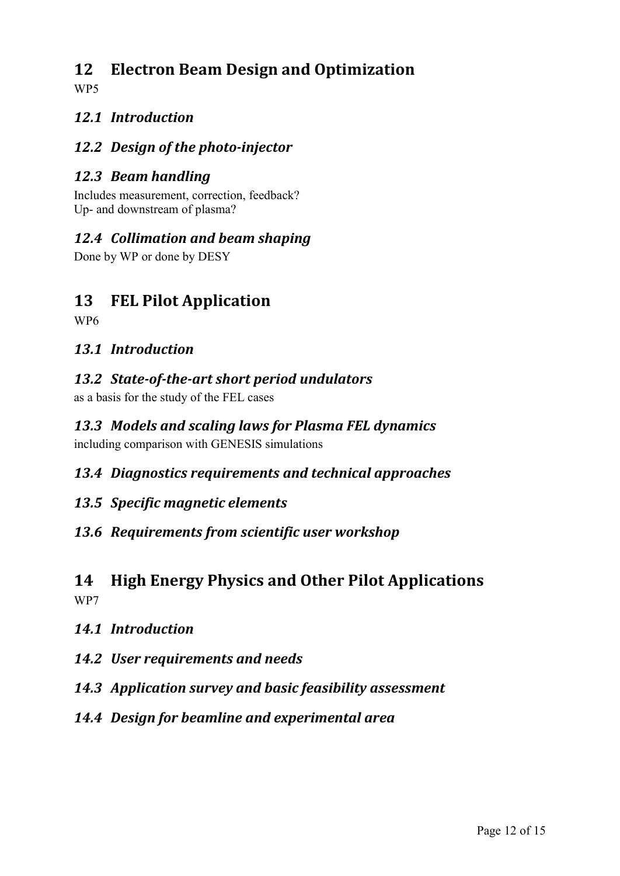## **12 Electron Beam Design and Optimization**

WP5

### *12.1 Introduction*

### *12.2 Design of the photo-injector*

### *12.3 Beam handling*

Includes measurement, correction, feedback? Up- and downstream of plasma?

### *12.4 Collimation and beam shaping*

Done by WP or done by DESY

## **13 FEL Pilot Application**

WP6

#### *13.1 Introduction*

### *13.2 State-of-the-art short period undulators*

as a basis for the study of the FEL cases

## *13.3 Models and scaling laws for Plasma FEL dynamics*

including comparison with GENESIS simulations

#### *13.4 Diagnostics requirements and technical approaches*

#### *13.5 Specific magnetic elements*

#### *13.6 Requirements from scientific user workshop*

#### **14 High Energy Physics and Other Pilot Applications** WP7

#### *14.1 Introduction*

- *14.2 User requirements and needs*
- *14.3 Application survey and basic feasibility assessment*
- *14.4 Design for beamline and experimental area*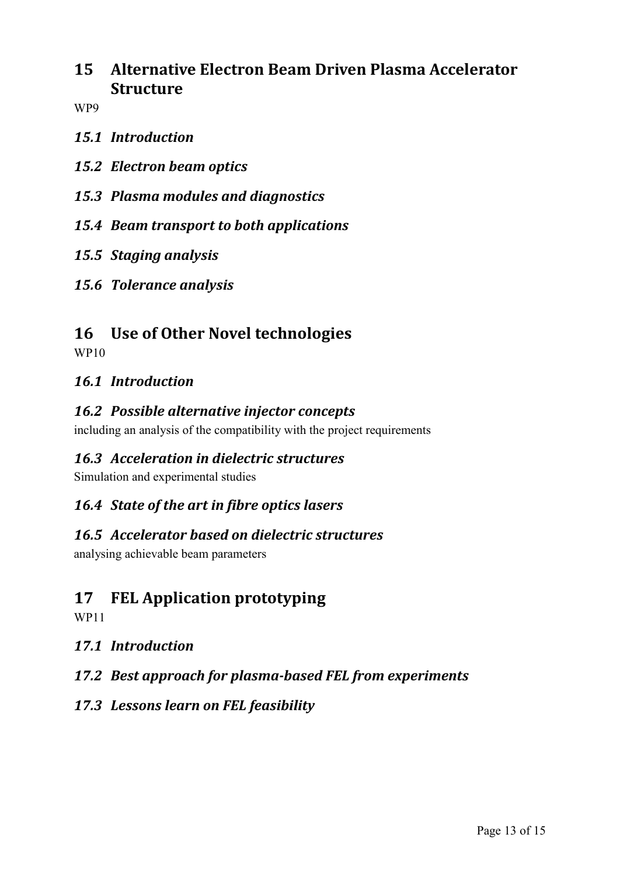## **15 Alternative Electron Beam Driven Plasma Accelerator Structure**

WP9

- *15.1 Introduction*
- *15.2 Electron beam optics*
- *15.3 Plasma modules and diagnostics*
- *15.4 Beam transport to both applications*
- *15.5 Staging analysis*
- *15.6 Tolerance analysis*

### **16 Use of Other Novel technologies**

WP10

#### *16.1 Introduction*

#### *16.2 Possible alternative injector concepts*

including an analysis of the compatibility with the project requirements

#### *16.3 Acceleration in dielectric structures*

Simulation and experimental studies

#### *16.4 State of the art in fibre optics lasers*

#### *16.5 Accelerator based on dielectric structures*

analysing achievable beam parameters

## **17 FEL Application prototyping**

WP11

#### *17.1 Introduction*

#### *17.2 Best approach for plasma-based FEL from experiments*

#### *17.3 Lessons learn on FEL feasibility*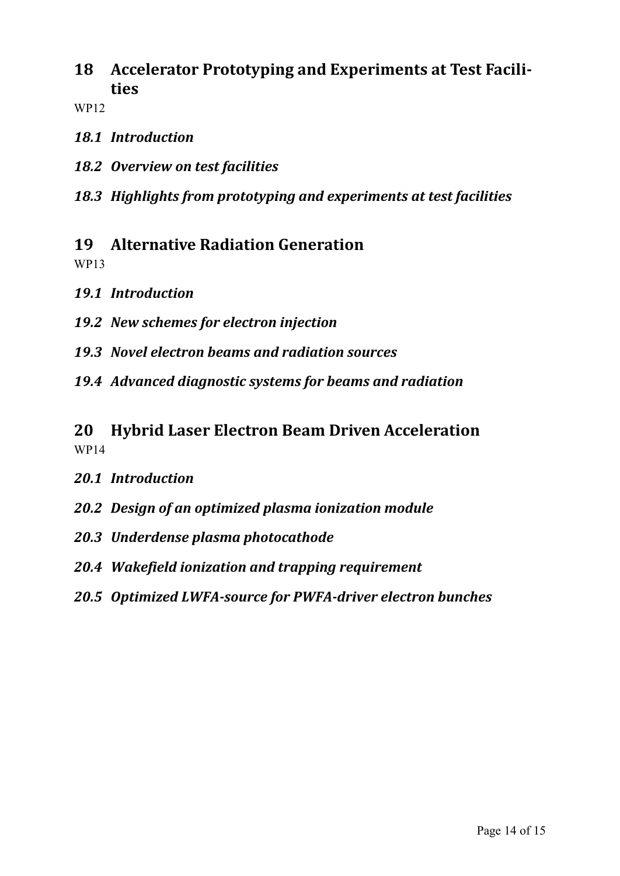**18 Accelerator Prototyping and Experiments at Test Facilities**

WP12

- *18.1 Introduction*
- *18.2 Overview on test facilities*
- *18.3 Highlights from prototyping and experiments at test facilities*

### **19 Alternative Radiation Generation**

WP13

- *19.1 Introduction*
- *19.2 New schemes for electron injection*
- *19.3 Novel electron beams and radiation sources*
- *19.4 Advanced diagnostic systems for beams and radiation*

### **20 Hybrid Laser Electron Beam Driven Acceleration** WP14

- *20.1 Introduction*
- *20.2 Design of an optimized plasma ionization module*
- *20.3 Underdense plasma photocathode*
- *20.4 Wakefield ionization and trapping requirement*
- *20.5 Optimized LWFA-source for PWFA-driver electron bunches*